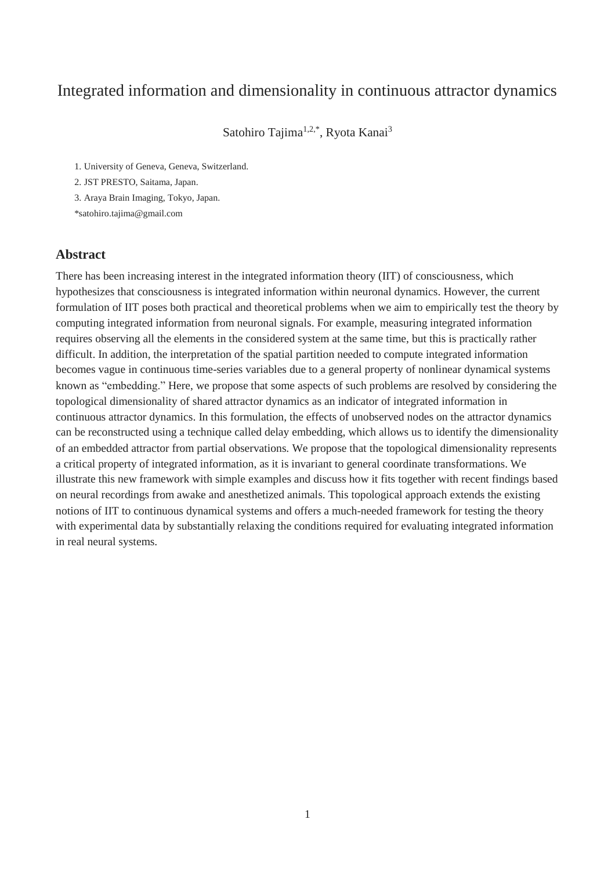# Integrated information and dimensionality in continuous attractor dynamics

Satohiro Tajima<sup>1,2,\*</sup>, Ryota Kanai<sup>3</sup>

1. University of Geneva, Geneva, Switzerland.

2. JST PRESTO, Saitama, Japan.

3. Araya Brain Imaging, Tokyo, Japan.

\*satohiro.tajima@gmail.com

### **Abstract**

There has been increasing interest in the integrated information theory (IIT) of consciousness, which hypothesizes that consciousness is integrated information within neuronal dynamics. However, the current formulation of IIT poses both practical and theoretical problems when we aim to empirically test the theory by computing integrated information from neuronal signals. For example, measuring integrated information requires observing all the elements in the considered system at the same time, but this is practically rather difficult. In addition, the interpretation of the spatial partition needed to compute integrated information becomes vague in continuous time-series variables due to a general property of nonlinear dynamical systems known as "embedding." Here, we propose that some aspects of such problems are resolved by considering the topological dimensionality of shared attractor dynamics as an indicator of integrated information in continuous attractor dynamics. In this formulation, the effects of unobserved nodes on the attractor dynamics can be reconstructed using a technique called delay embedding, which allows us to identify the dimensionality of an embedded attractor from partial observations. We propose that the topological dimensionality represents a critical property of integrated information, as it is invariant to general coordinate transformations. We illustrate this new framework with simple examples and discuss how it fits together with recent findings based on neural recordings from awake and anesthetized animals. This topological approach extends the existing notions of IIT to continuous dynamical systems and offers a much-needed framework for testing the theory with experimental data by substantially relaxing the conditions required for evaluating integrated information in real neural systems.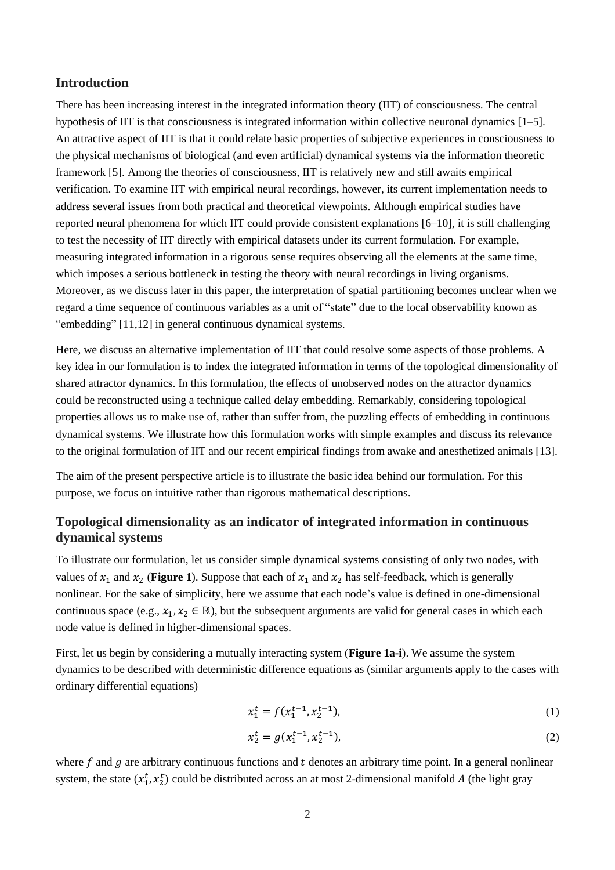### **Introduction**

There has been increasing interest in the integrated information theory (IIT) of consciousness. The central hypothesis of IIT is that consciousness is integrated information within collective neuronal dynamics [1–5]. An attractive aspect of IIT is that it could relate basic properties of subjective experiences in consciousness to the physical mechanisms of biological (and even artificial) dynamical systems via the information theoretic framework [5]. Among the theories of consciousness, IIT is relatively new and still awaits empirical verification. To examine IIT with empirical neural recordings, however, its current implementation needs to address several issues from both practical and theoretical viewpoints. Although empirical studies have reported neural phenomena for which IIT could provide consistent explanations [6–10], it is still challenging to test the necessity of IIT directly with empirical datasets under its current formulation. For example, measuring integrated information in a rigorous sense requires observing all the elements at the same time, which imposes a serious bottleneck in testing the theory with neural recordings in living organisms. Moreover, as we discuss later in this paper, the interpretation of spatial partitioning becomes unclear when we regard a time sequence of continuous variables as a unit of "state" due to the local observability known as "embedding" [11,12] in general continuous dynamical systems.

Here, we discuss an alternative implementation of IIT that could resolve some aspects of those problems. A key idea in our formulation is to index the integrated information in terms of the topological dimensionality of shared attractor dynamics. In this formulation, the effects of unobserved nodes on the attractor dynamics could be reconstructed using a technique called delay embedding. Remarkably, considering topological properties allows us to make use of, rather than suffer from, the puzzling effects of embedding in continuous dynamical systems. We illustrate how this formulation works with simple examples and discuss its relevance to the original formulation of IIT and our recent empirical findings from awake and anesthetized animals [13].

The aim of the present perspective article is to illustrate the basic idea behind our formulation. For this purpose, we focus on intuitive rather than rigorous mathematical descriptions.

# **Topological dimensionality as an indicator of integrated information in continuous dynamical systems**

To illustrate our formulation, let us consider simple dynamical systems consisting of only two nodes, with values of  $x_1$  and  $x_2$  (**[Figure 1](#page-2-0)**). Suppose that each of  $x_1$  and  $x_2$  has self-feedback, which is generally nonlinear. For the sake of simplicity, here we assume that each node's value is defined in one-dimensional continuous space (e.g.,  $x_1, x_2 \in \mathbb{R}$ ), but the subsequent arguments are valid for general cases in which each node value is defined in higher-dimensional spaces.

First, let us begin by considering a mutually interacting system (**[Figure 1a](#page-2-0)-i**). We assume the system dynamics to be described with deterministic difference equations as (similar arguments apply to the cases with ordinary differential equations)

$$
x_1^t = f(x_1^{t-1}, x_2^{t-1}), \tag{1}
$$

$$
x_2^t = g(x_1^{t-1}, x_2^{t-1}),
$$
\n(2)

where  $f$  and  $g$  are arbitrary continuous functions and  $t$  denotes an arbitrary time point. In a general nonlinear system, the state  $(x_1^t, x_2^t)$  could be distributed across an at most 2-dimensional manifold A (the light gray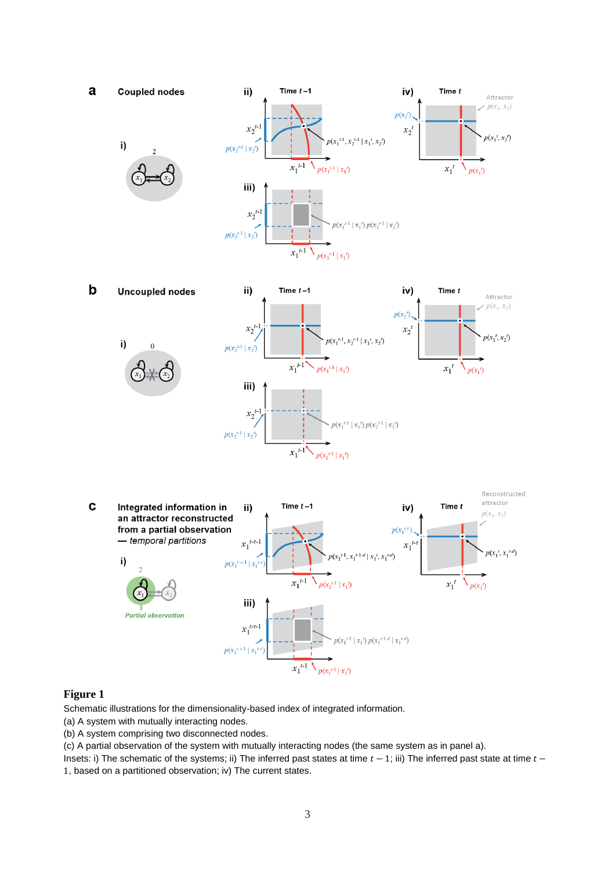

#### <span id="page-2-0"></span>**Figure 1**

Schematic illustrations for the dimensionality-based index of integrated information.

(a) A system with mutually interacting nodes.

(b) A system comprising two disconnected nodes.

(c) A partial observation of the system with mutually interacting nodes (the same system as in panel a).

Insets: i) The schematic of the systems; ii) The inferred past states at time  $t - 1$ ; iii) The inferred past state at time  $t -$ 

1, based on a partitioned observation; iv) The current states.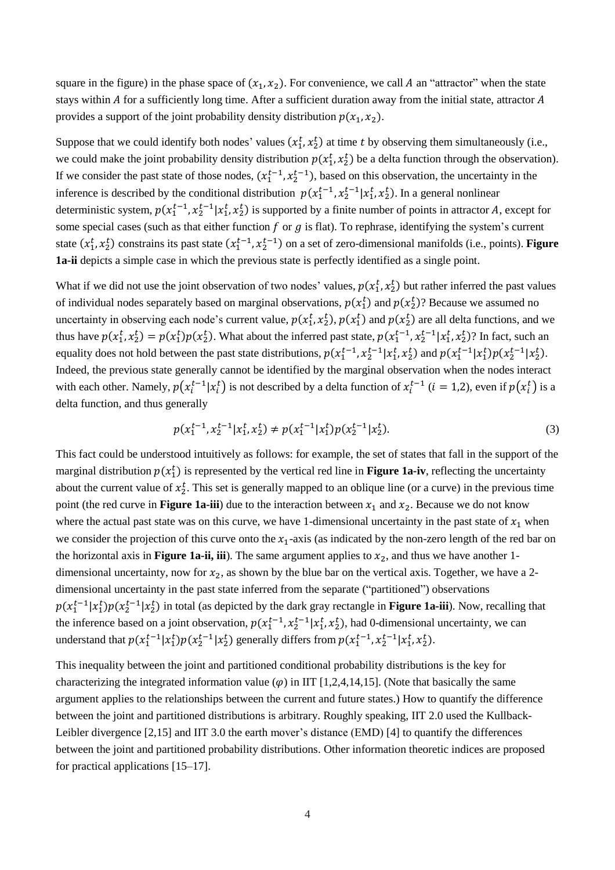square in the figure) in the phase space of  $(x_1, x_2)$ . For convenience, we call A an "attractor" when the state stays within  $A$  for a sufficiently long time. After a sufficient duration away from the initial state, attractor  $A$ provides a support of the joint probability density distribution  $p(x_1, x_2)$ .

Suppose that we could identify both nodes' values  $(x_1^t, x_2^t)$  at time t by observing them simultaneously (i.e., we could make the joint probability density distribution  $p(x_1^t, x_2^t)$  be a delta function through the observation). If we consider the past state of those nodes,  $(x_1^{t-1}, x_2^{t-1})$ , based on this observation, the uncertainty in the inference is described by the conditional distribution  $p(x_1^{t-1}, x_2^{t-1} | x_1^t, x_2^t)$ . In a general nonlinear deterministic system,  $p(x_1^{t-1}, x_2^{t-1} | x_1^t, x_2^t)$  is supported by a finite number of points in attractor A, except for some special cases (such as that either function  $f$  or  $g$  is flat). To rephrase, identifying the system's current state  $(x_1^t, x_2^t)$  constrains its past state  $(x_1^{t-1}, x_2^{t-1})$  on a set of zero-dimensional manifolds (i.e., points). **Figure [1a](#page-2-0)-ii** depicts a simple case in which the previous state is perfectly identified as a single point.

What if we did not use the joint observation of two nodes' values,  $p(x_1^t, x_2^t)$  but rather inferred the past values of individual nodes separately based on marginal observations,  $p(x_1^t)$  and  $p(x_2^t)$ ? Because we assumed no uncertainty in observing each node's current value,  $p(x_1^t, x_2^t)$ ,  $p(x_1^t)$  and  $p(x_2^t)$  are all delta functions, and we thus have  $p(x_1^t, x_2^t) = p(x_1^t)p(x_2^t)$ . What about the inferred past state,  $p(x_1^{t-1}, x_2^{t-1} | x_1^t, x_2^t)$ ? In fact, such an equality does not hold between the past state distributions,  $p(x_1^{t-1}, x_2^{t-1} | x_1^t, x_2^t)$  and  $p(x_1^{t-1} | x_1^t) p(x_2^{t-1} | x_2^t)$ . Indeed, the previous state generally cannot be identified by the marginal observation when the nodes interact with each other. Namely,  $p(x_i^{t-1}|x_i^t)$  is not described by a delta function of  $x_i^{t-1}$   $(i = 1,2)$ , even if  $p(x_i^t)$  is a delta function, and thus generally

$$
p(x_1^{t-1}, x_2^{t-1} | x_1^t, x_2^t) \neq p(x_1^{t-1} | x_1^t) p(x_2^{t-1} | x_2^t).
$$
\n(3)

This fact could be understood intuitively as follows: for example, the set of states that fall in the support of the marginal distribution  $p(x_1^t)$  is represented by the vertical red line in **[Figure 1a](#page-2-0)-iv**, reflecting the uncertainty about the current value of  $x_2^t$ . This set is generally mapped to an oblique line (or a curve) in the previous time point (the red curve in **[Figure 1a](#page-2-0)-iii**) due to the interaction between  $x_1$  and  $x_2$ . Because we do not know where the actual past state was on this curve, we have 1-dimensional uncertainty in the past state of  $x_1$  when we consider the projection of this curve onto the  $x_1$ -axis (as indicated by the non-zero length of the red bar on the horizontal axis in **[Figure 1a](#page-2-0)-ii, iii**). The same argument applies to  $x_2$ , and thus we have another 1dimensional uncertainty, now for  $x_2$ , as shown by the blue bar on the vertical axis. Together, we have a 2dimensional uncertainty in the past state inferred from the separate ("partitioned") observations  $p(x_1^{t-1}|x_1^t)p(x_2^{t-1}|x_2^t)$  in total (as depicted by the dark gray rectangle in **[Figure 1a](#page-2-0)-iii**). Now, recalling that the inference based on a joint observation,  $p(x_1^{t-1}, x_2^{t-1} | x_1^t, x_2^t)$ , had 0-dimensional uncertainty, we can understand that  $p(x_1^{t-1}|x_1^t)p(x_2^{t-1}|x_2^t)$  generally differs from  $p(x_1^{t-1}, x_2^{t-1}|x_1^t, x_2^t)$ .

This inequality between the joint and partitioned conditional probability distributions is the key for characterizing the integrated information value  $(\varphi)$  in IIT [1,2,4,14,15]. (Note that basically the same argument applies to the relationships between the current and future states.) How to quantify the difference between the joint and partitioned distributions is arbitrary. Roughly speaking, IIT 2.0 used the Kullback-Leibler divergence [2,15] and IIT 3.0 the earth mover's distance (EMD) [4] to quantify the differences between the joint and partitioned probability distributions. Other information theoretic indices are proposed for practical applications [15–17].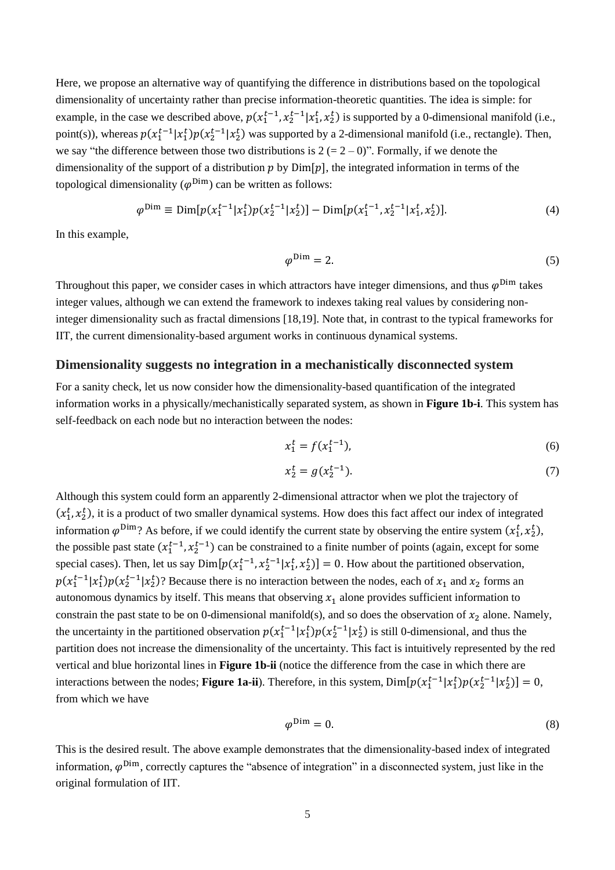Here, we propose an alternative way of quantifying the difference in distributions based on the topological dimensionality of uncertainty rather than precise information-theoretic quantities. The idea is simple: for example, in the case we described above,  $p(x_1^{t-1}, x_2^{t-1} | x_1^t, x_2^t)$  is supported by a 0-dimensional manifold (i.e., point(s)), whereas  $p(x_1^{t-1}|x_1^t)p(x_2^{t-1}|x_2^t)$  was supported by a 2-dimensional manifold (i.e., rectangle). Then, we say "the difference between those two distributions is  $2 (= 2 - 0)$ ". Formally, if we denote the dimensionality of the support of a distribution  $p$  by  $Dim[p]$ , the integrated information in terms of the topological dimensionality ( $\varphi^{\text{Dim}}$ ) can be written as follows:

$$
\varphi^{\text{Dim}} \equiv \text{Dim}[p(x_1^{t-1}|x_1^t)p(x_2^{t-1}|x_2^t)] - \text{Dim}[p(x_1^{t-1}, x_2^{t-1}|x_1^t, x_2^t)]. \tag{4}
$$

In this example,

$$
\varphi^{\text{Dim}} = 2. \tag{5}
$$

Throughout this paper, we consider cases in which attractors have integer dimensions, and thus  $\varphi^{\text{Dim}}$  takes integer values, although we can extend the framework to indexes taking real values by considering noninteger dimensionality such as fractal dimensions [18,19]. Note that, in contrast to the typical frameworks for IIT, the current dimensionality-based argument works in continuous dynamical systems.

### **Dimensionality suggests no integration in a mechanistically disconnected system**

For a sanity check, let us now consider how the dimensionality-based quantification of the integrated information works in a physically/mechanistically separated system, as shown in **[Figure 1b](#page-2-0)-i**. This system has self-feedback on each node but no interaction between the nodes:

$$
x_1^t = f(x_1^{t-1}),
$$
\n(6)

$$
x_2^t = g(x_2^{t-1}).
$$
\n(7)

Although this system could form an apparently 2-dimensional attractor when we plot the trajectory of  $(x_1^t, x_2^t)$ , it is a product of two smaller dynamical systems. How does this fact affect our index of integrated information  $\varphi^{\text{Dim}}$ ? As before, if we could identify the current state by observing the entire system  $(x_1^t, x_2^t)$ , the possible past state  $(x_1^{t-1}, x_2^{t-1})$  can be constrained to a finite number of points (again, except for some special cases). Then, let us say  $Dim[p(x_1^{t-1}, x_2^{t-1} | x_1^t, x_2^t)] = 0$ . How about the partitioned observation,  $p(x_1^{t-1}|x_1^t)p(x_2^{t-1}|x_2^t)$ ? Because there is no interaction between the nodes, each of  $x_1$  and  $x_2$  forms an autonomous dynamics by itself. This means that observing  $x_1$  alone provides sufficient information to constrain the past state to be on 0-dimensional manifold(s), and so does the observation of  $x_2$  alone. Namely, the uncertainty in the partitioned observation  $p(x_1^{t-1}|x_1^t)p(x_2^{t-1}|x_2^t)$  is still 0-dimensional, and thus the partition does not increase the dimensionality of the uncertainty. This fact is intuitively represented by the red vertical and blue horizontal lines in **[Figure 1b](#page-2-0)-ii** (notice the difference from the case in which there are interactions between the nodes; **[Figure 1a](#page-2-0)-ii**). Therefore, in this system,  $Dim[p(x_1^{t-1}|x_1^t)p(x_2^{t-1}|x_2^t)]=0$ , from which we have

$$
\varphi^{\text{Dim}} = 0. \tag{8}
$$

This is the desired result. The above example demonstrates that the dimensionality-based index of integrated information,  $\varphi^{\text{Dim}}$ , correctly captures the "absence of integration" in a disconnected system, just like in the original formulation of IIT.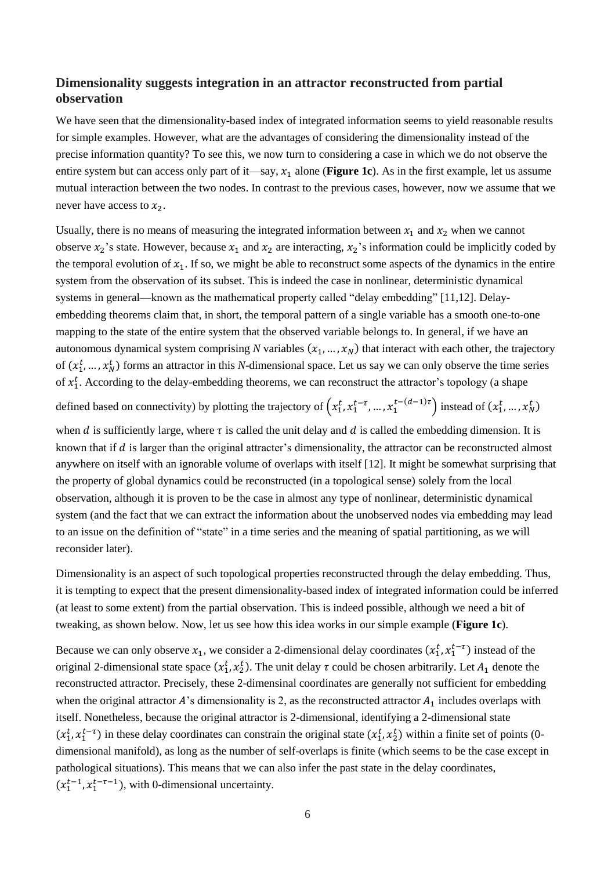# **Dimensionality suggests integration in an attractor reconstructed from partial observation**

We have seen that the dimensionality-based index of integrated information seems to yield reasonable results for simple examples. However, what are the advantages of considering the dimensionality instead of the precise information quantity? To see this, we now turn to considering a case in which we do not observe the entire system but can access only part of it—say,  $x_1$  alone (**[Figure 1c](#page-2-0)**). As in the first example, let us assume mutual interaction between the two nodes. In contrast to the previous cases, however, now we assume that we never have access to  $x_2$ .

Usually, there is no means of measuring the integrated information between  $x_1$  and  $x_2$  when we cannot observe  $x_2$ 's state. However, because  $x_1$  and  $x_2$  are interacting,  $x_2$ 's information could be implicitly coded by the temporal evolution of  $x_1$ . If so, we might be able to reconstruct some aspects of the dynamics in the entire system from the observation of its subset. This is indeed the case in nonlinear, deterministic dynamical systems in general—known as the mathematical property called "delay embedding" [11,12]. Delayembedding theorems claim that, in short, the temporal pattern of a single variable has a smooth one-to-one mapping to the state of the entire system that the observed variable belongs to. In general, if we have an autonomous dynamical system comprising *N* variables  $(x_1, ..., x_N)$  that interact with each other, the trajectory of  $(x_1^t, ..., x_N^t)$  forms an attractor in this *N*-dimensional space. Let us say we can only observe the time series of  $x_1^t$ . According to the delay-embedding theorems, we can reconstruct the attractor's topology (a shape

defined based on connectivity) by plotting the trajectory of  $(x_1^t, x_1^{t-\tau}, ..., x_1^{t-(d-1)\tau})$  instead of  $(x_1^t, ..., x_N^t)$ 

when d is sufficiently large, where  $\tau$  is called the unit delay and d is called the embedding dimension. It is known that if  $d$  is larger than the original attracter's dimensionality, the attractor can be reconstructed almost anywhere on itself with an ignorable volume of overlaps with itself [12]. It might be somewhat surprising that the property of global dynamics could be reconstructed (in a topological sense) solely from the local observation, although it is proven to be the case in almost any type of nonlinear, deterministic dynamical system (and the fact that we can extract the information about the unobserved nodes via embedding may lead to an issue on the definition of "state" in a time series and the meaning of spatial partitioning, as we will reconsider later).

Dimensionality is an aspect of such topological properties reconstructed through the delay embedding. Thus, it is tempting to expect that the present dimensionality-based index of integrated information could be inferred (at least to some extent) from the partial observation. This is indeed possible, although we need a bit of tweaking, as shown below. Now, let us see how this idea works in our simple example (**[Figure 1c](#page-2-0)**).

Because we can only observe  $x_1$ , we consider a 2-dimensional delay coordinates  $(x_1^t, x_1^{t-\tau})$  instead of the original 2-dimensional state space  $(x_1^t, x_2^t)$ . The unit delay  $\tau$  could be chosen arbitrarily. Let  $A_1$  denote the reconstructed attractor. Precisely, these 2-dimensinal coordinates are generally not sufficient for embedding when the original attractor A's dimensionality is 2, as the reconstructed attractor  $A_1$  includes overlaps with itself. Nonetheless, because the original attractor is 2-dimensional, identifying a 2-dimensional state  $(x_1^t, x_1^{t-\tau})$  in these delay coordinates can constrain the original state  $(x_1^t, x_2^t)$  within a finite set of points (0dimensional manifold), as long as the number of self-overlaps is finite (which seems to be the case except in pathological situations). This means that we can also infer the past state in the delay coordinates,  $(x_1^{t-1}, x_1^{t-\tau-1})$ , with 0-dimensional uncertainty.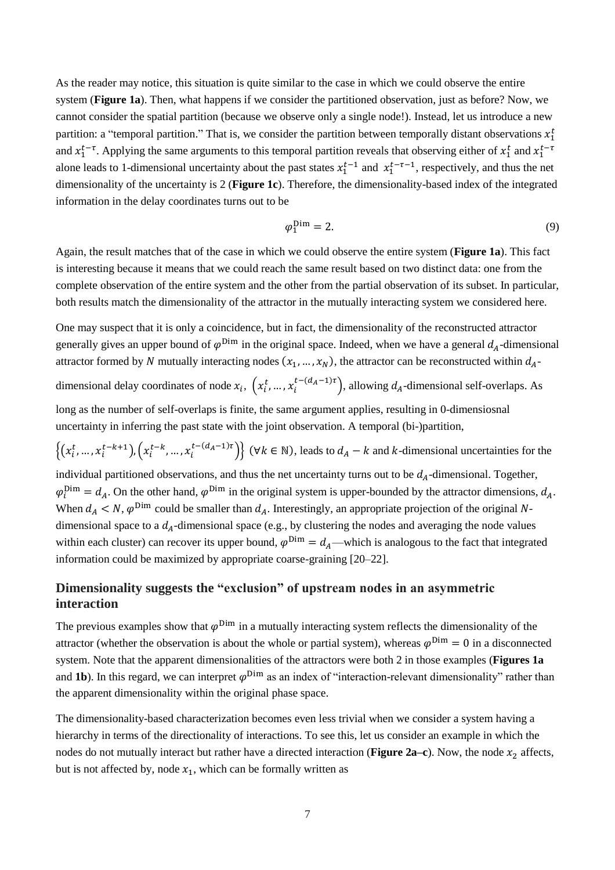As the reader may notice, this situation is quite similar to the case in which we could observe the entire system (**[Figure 1a](#page-2-0)**). Then, what happens if we consider the partitioned observation, just as before? Now, we cannot consider the spatial partition (because we observe only a single node!). Instead, let us introduce a new partition: a "temporal partition." That is, we consider the partition between temporally distant observations  $x_1^t$ and  $x_1^{t-\tau}$ . Applying the same arguments to this temporal partition reveals that observing either of  $x_1^t$  and  $x_1^{t-\tau}$ alone leads to 1-dimensional uncertainty about the past states  $x_1^{t-1}$  and  $x_1^{t-\tau-1}$ , respectively, and thus the net dimensionality of the uncertainty is 2 (**[Figure 1c](#page-2-0)**). Therefore, the dimensionality-based index of the integrated information in the delay coordinates turns out to be

$$
\varphi_1^{\text{Dim}} = 2. \tag{9}
$$

Again, the result matches that of the case in which we could observe the entire system (**[Figure 1a](#page-2-0)**). This fact is interesting because it means that we could reach the same result based on two distinct data: one from the complete observation of the entire system and the other from the partial observation of its subset. In particular, both results match the dimensionality of the attractor in the mutually interacting system we considered here.

One may suspect that it is only a coincidence, but in fact, the dimensionality of the reconstructed attractor generally gives an upper bound of  $\varphi^{Dim}$  in the original space. Indeed, when we have a general  $d_A$ -dimensional attractor formed by N mutually interacting nodes  $(x_1, ..., x_N)$ , the attractor can be reconstructed within  $d_{A}$ dimensional delay coordinates of node  $x_i$ ,  $(x_i^t, ..., x_i^{t-(d_A-1)\tau})$ , allowing  $d_A$ -dimensional self-overlaps. As long as the number of self-overlaps is finite, the same argument applies, resulting in 0-dimensiosnal uncertainty in inferring the past state with the joint observation. A temporal (bi-)partition,  $\{(x_i^t, ..., x_i^{t-k+1}), (x_i^{t-k}, ..., x_i^{t-(d_A-1)\tau})\}$  ( $\forall k \in \mathbb{N}$ ), leads to  $d_A - k$  and  $k$ -dimensional uncertainties for the individual partitioned observations, and thus the net uncertainty turns out to be  $d_A$ -dimensional. Together,  $\varphi_i^{\text{Dim}} = d_A$ . On the other hand,  $\varphi^{\text{Dim}}$  in the original system is upper-bounded by the attractor dimensions,  $d_A$ . When  $d_A < N$ ,  $\varphi^{\text{Dim}}$  could be smaller than  $d_A$ . Interestingly, an appropriate projection of the original Ndimensional space to a  $d_A$ -dimensional space (e.g., by clustering the nodes and averaging the node values

within each cluster) can recover its upper bound,  $\varphi^{\text{Dim}} = d_A$ —which is analogous to the fact that integrated information could be maximized by appropriate coarse-graining [20–22].

# **Dimensionality suggests the "exclusion" of upstream nodes in an asymmetric interaction**

The previous examples show that  $\varphi^{\text{Dim}}$  in a mutually interacting system reflects the dimensionality of the attractor (whether the observation is about the whole or partial system), whereas  $\varphi^{Dim} = 0$  in a disconnected system. Note that the apparent dimensionalities of the attractors were both 2 in those examples (**Figures 1a** and **1b**). In this regard, we can interpret  $\varphi$ <sup>Dim</sup> as an index of "interaction-relevant dimensionality" rather than the apparent dimensionality within the original phase space.

The dimensionality-based characterization becomes even less trivial when we consider a system having a hierarchy in terms of the directionality of interactions. To see this, let us consider an example in which the nodes do not mutually interact but rather have a directed interaction (**[Figure 2a](#page-7-0)–c**). Now, the node  $x_2$  affects, but is not affected by, node  $x_1$ , which can be formally written as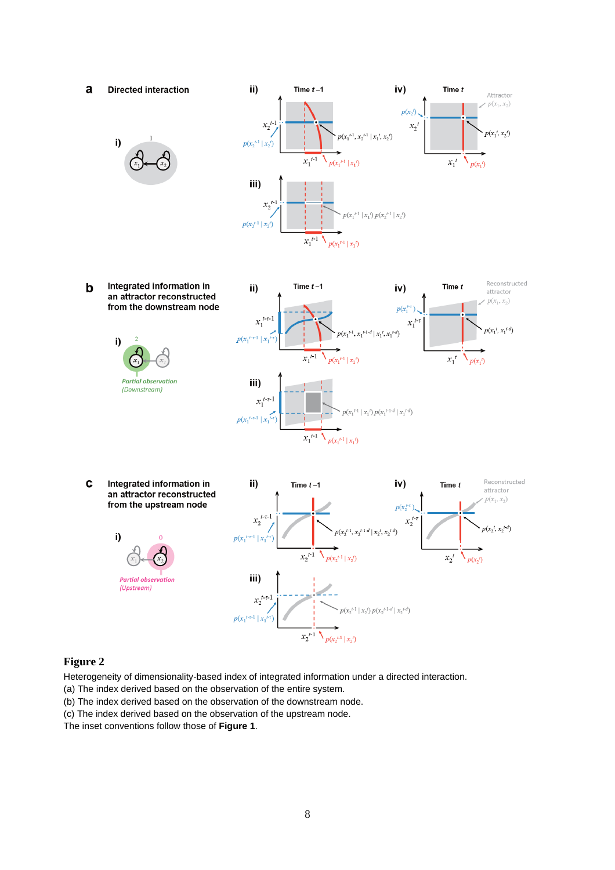

i)



Integrated information in  $\mathbf b$ an attractor reconstructed from the downstream node





 $\mathbf c$ Integrated information in an attractor reconstructed from the upstream node

> **Partial observation** (Upstream)

i)



### <span id="page-7-0"></span>**Figure 2**

Heterogeneity of dimensionality-based index of integrated information under a directed interaction.

- (a) The index derived based on the observation of the entire system.
- (b) The index derived based on the observation of the downstream node.
- (c) The index derived based on the observation of the upstream node.

The inset conventions follow those of **Figure 1**.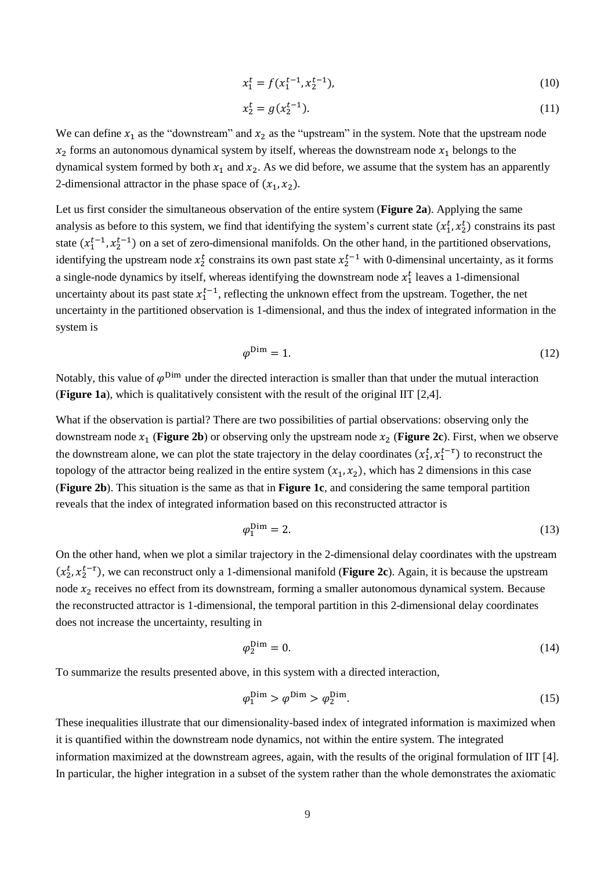$$
x_1^t = f(x_1^{t-1}, x_2^{t-1}),\tag{10}
$$

$$
x_2^t = g(x_2^{t-1}).
$$
\n(11)

We can define  $x_1$  as the "downstream" and  $x_2$  as the "upstream" in the system. Note that the upstream node  $x_2$  forms an autonomous dynamical system by itself, whereas the downstream node  $x_1$  belongs to the dynamical system formed by both  $x_1$  and  $x_2$ . As we did before, we assume that the system has an apparently 2-dimensional attractor in the phase space of  $(x_1, x_2)$ .

Let us first consider the simultaneous observation of the entire system (**[Figure 2a](#page-7-0)**). Applying the same analysis as before to this system, we find that identifying the system's current state  $(x_1^t, x_2^t)$  constrains its past state  $(x_1^{t-1}, x_2^{t-1})$  on a set of zero-dimensional manifolds. On the other hand, in the partitioned observations, identifying the upstream node  $x_2^t$  constrains its own past state  $x_2^{t-1}$  with 0-dimensinal uncertainty, as it forms a single-node dynamics by itself, whereas identifying the downstream node  $x_1^t$  leaves a 1-dimensional uncertainty about its past state  $x_1^{t-1}$ , reflecting the unknown effect from the upstream. Together, the net uncertainty in the partitioned observation is 1-dimensional, and thus the index of integrated information in the system is

$$
\varphi^{\text{Dim}} = 1. \tag{12}
$$

Notably, this value of  $\varphi^{\text{Dim}}$  under the directed interaction is smaller than that under the mutual interaction (**[Figure 1a](#page-2-0)**), which is qualitatively consistent with the result of the original IIT [2,4].

What if the observation is partial? There are two possibilities of partial observations: observing only the downstream node  $x_1$  (**[Figure 2b](#page-7-0)**) or observing only the upstream node  $x_2$  (**[Figure 2c](#page-7-0)**). First, when we observe the downstream alone, we can plot the state trajectory in the delay coordinates  $(x_1^t, x_1^{t-\tau})$  to reconstruct the topology of the attractor being realized in the entire system  $(x_1, x_2)$ , which has 2 dimensions in this case (**[Figure 2b](#page-7-0)**). This situation is the same as that in **[Figure 1c](#page-2-0)**, and considering the same temporal partition reveals that the index of integrated information based on this reconstructed attractor is

$$
\varphi_1^{\text{Dim}} = 2. \tag{13}
$$

On the other hand, when we plot a similar trajectory in the 2-dimensional delay coordinates with the upstream  $(x_2^t, x_2^{t-\tau})$ , we can reconstruct only a 1-dimensional manifold (**[Figure 2c](#page-7-0)**). Again, it is because the upstream node  $x_2$  receives no effect from its downstream, forming a smaller autonomous dynamical system. Because the reconstructed attractor is 1-dimensional, the temporal partition in this 2-dimensional delay coordinates does not increase the uncertainty, resulting in

$$
\varphi_2^{\text{Dim}} = 0. \tag{14}
$$

To summarize the results presented above, in this system with a directed interaction,

$$
\varphi_1^{\text{Dim}} > \varphi^{\text{Dim}} > \varphi_2^{\text{Dim}}.\tag{15}
$$

These inequalities illustrate that our dimensionality-based index of integrated information is maximized when it is quantified within the downstream node dynamics, not within the entire system. The integrated information maximized at the downstream agrees, again, with the results of the original formulation of IIT [4]. In particular, the higher integration in a subset of the system rather than the whole demonstrates the axiomatic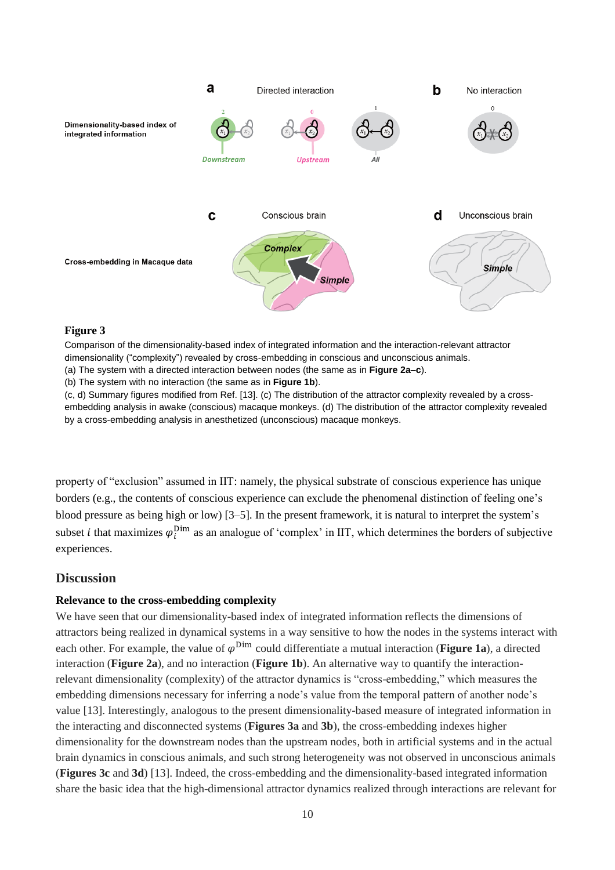

#### **Figure 3**

Comparison of the dimensionality-based index of integrated information and the interaction-relevant attractor dimensionality ("complexity") revealed by cross-embedding in conscious and unconscious animals.

(a) The system with a directed interaction between nodes (the same as in **Figure 2a–c**).

(b) The system with no interaction (the same as in **Figure 1b**).

(c, d) Summary figures modified from Ref. [13]. (c) The distribution of the attractor complexity revealed by a crossembedding analysis in awake (conscious) macaque monkeys. (d) The distribution of the attractor complexity revealed by a cross-embedding analysis in anesthetized (unconscious) macaque monkeys.

property of "exclusion" assumed in IIT: namely, the physical substrate of conscious experience has unique borders (e.g., the contents of conscious experience can exclude the phenomenal distinction of feeling one's blood pressure as being high or low) [3–5]. In the present framework, it is natural to interpret the system's subset *i* that maximizes  $\varphi_i^{\text{Dim}}$  as an analogue of 'complex' in IIT, which determines the borders of subjective experiences.

### **Discussion**

#### **Relevance to the cross-embedding complexity**

We have seen that our dimensionality-based index of integrated information reflects the dimensions of attractors being realized in dynamical systems in a way sensitive to how the nodes in the systems interact with each other. For example, the value of  $\varphi^{\text{Dim}}$  could differentiate a mutual interaction (**[Figure 1a](#page-2-0)**), a directed interaction (**[Figure 2a](#page-7-0)**), and no interaction (**[Figure 1b](#page-2-0)**). An alternative way to quantify the interactionrelevant dimensionality (complexity) of the attractor dynamics is "cross-embedding," which measures the embedding dimensions necessary for inferring a node's value from the temporal pattern of another node's value [13]. Interestingly, analogous to the present dimensionality-based measure of integrated information in the interacting and disconnected systems (**Figures 3a** and **3b**), the cross-embedding indexes higher dimensionality for the downstream nodes than the upstream nodes, both in artificial systems and in the actual brain dynamics in conscious animals, and such strong heterogeneity was not observed in unconscious animals (**Figures 3c** and **3d**) [13]. Indeed, the cross-embedding and the dimensionality-based integrated information share the basic idea that the high-dimensional attractor dynamics realized through interactions are relevant for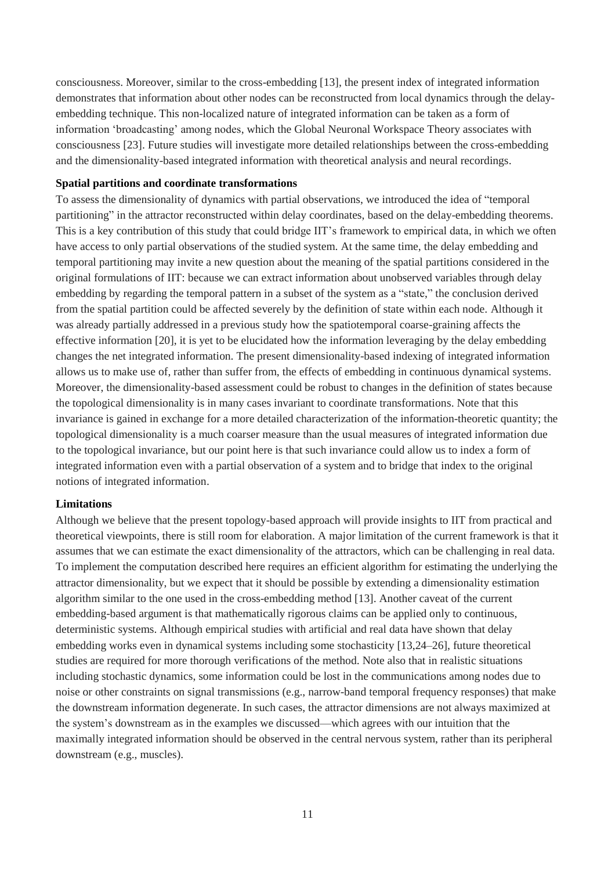consciousness. Moreover, similar to the cross-embedding [13], the present index of integrated information demonstrates that information about other nodes can be reconstructed from local dynamics through the delayembedding technique. This non-localized nature of integrated information can be taken as a form of information 'broadcasting' among nodes, which the Global Neuronal Workspace Theory associates with consciousness [23]. Future studies will investigate more detailed relationships between the cross-embedding and the dimensionality-based integrated information with theoretical analysis and neural recordings.

#### **Spatial partitions and coordinate transformations**

To assess the dimensionality of dynamics with partial observations, we introduced the idea of "temporal partitioning" in the attractor reconstructed within delay coordinates, based on the delay-embedding theorems. This is a key contribution of this study that could bridge IIT's framework to empirical data, in which we often have access to only partial observations of the studied system. At the same time, the delay embedding and temporal partitioning may invite a new question about the meaning of the spatial partitions considered in the original formulations of IIT: because we can extract information about unobserved variables through delay embedding by regarding the temporal pattern in a subset of the system as a "state," the conclusion derived from the spatial partition could be affected severely by the definition of state within each node. Although it was already partially addressed in a previous study how the spatiotemporal coarse-graining affects the effective information [20], it is yet to be elucidated how the information leveraging by the delay embedding changes the net integrated information. The present dimensionality-based indexing of integrated information allows us to make use of, rather than suffer from, the effects of embedding in continuous dynamical systems. Moreover, the dimensionality-based assessment could be robust to changes in the definition of states because the topological dimensionality is in many cases invariant to coordinate transformations. Note that this invariance is gained in exchange for a more detailed characterization of the information-theoretic quantity; the topological dimensionality is a much coarser measure than the usual measures of integrated information due to the topological invariance, but our point here is that such invariance could allow us to index a form of integrated information even with a partial observation of a system and to bridge that index to the original notions of integrated information.

#### **Limitations**

Although we believe that the present topology-based approach will provide insights to IIT from practical and theoretical viewpoints, there is still room for elaboration. A major limitation of the current framework is that it assumes that we can estimate the exact dimensionality of the attractors, which can be challenging in real data. To implement the computation described here requires an efficient algorithm for estimating the underlying the attractor dimensionality, but we expect that it should be possible by extending a dimensionality estimation algorithm similar to the one used in the cross-embedding method [13]. Another caveat of the current embedding-based argument is that mathematically rigorous claims can be applied only to continuous, deterministic systems. Although empirical studies with artificial and real data have shown that delay embedding works even in dynamical systems including some stochasticity [13,24–26], future theoretical studies are required for more thorough verifications of the method. Note also that in realistic situations including stochastic dynamics, some information could be lost in the communications among nodes due to noise or other constraints on signal transmissions (e.g., narrow-band temporal frequency responses) that make the downstream information degenerate. In such cases, the attractor dimensions are not always maximized at the system's downstream as in the examples we discussed—which agrees with our intuition that the maximally integrated information should be observed in the central nervous system, rather than its peripheral downstream (e.g., muscles).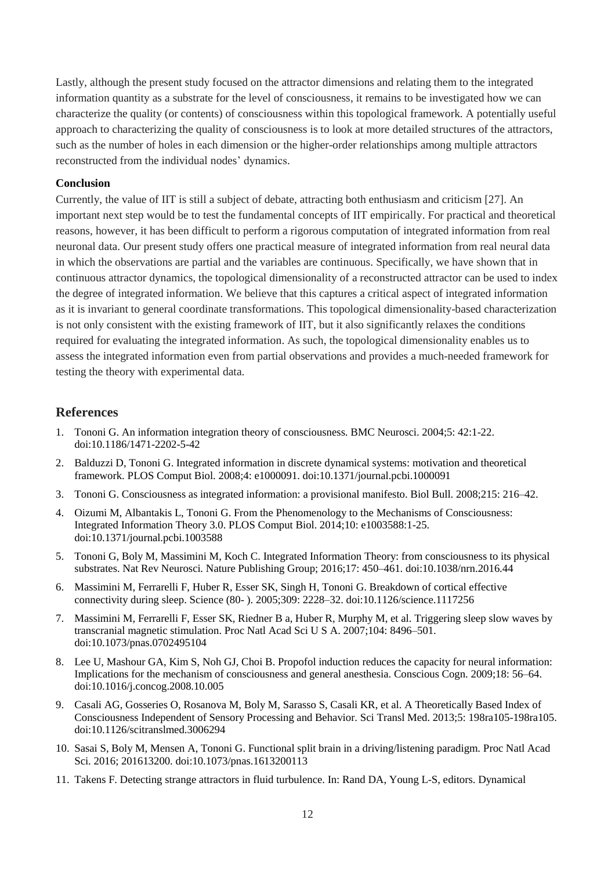Lastly, although the present study focused on the attractor dimensions and relating them to the integrated information quantity as a substrate for the level of consciousness, it remains to be investigated how we can characterize the quality (or contents) of consciousness within this topological framework. A potentially useful approach to characterizing the quality of consciousness is to look at more detailed structures of the attractors, such as the number of holes in each dimension or the higher-order relationships among multiple attractors reconstructed from the individual nodes' dynamics.

#### **Conclusion**

Currently, the value of IIT is still a subject of debate, attracting both enthusiasm and criticism [27]. An important next step would be to test the fundamental concepts of IIT empirically. For practical and theoretical reasons, however, it has been difficult to perform a rigorous computation of integrated information from real neuronal data. Our present study offers one practical measure of integrated information from real neural data in which the observations are partial and the variables are continuous. Specifically, we have shown that in continuous attractor dynamics, the topological dimensionality of a reconstructed attractor can be used to index the degree of integrated information. We believe that this captures a critical aspect of integrated information as it is invariant to general coordinate transformations. This topological dimensionality-based characterization is not only consistent with the existing framework of IIT, but it also significantly relaxes the conditions required for evaluating the integrated information. As such, the topological dimensionality enables us to assess the integrated information even from partial observations and provides a much-needed framework for testing the theory with experimental data.

### **References**

- 1. Tononi G. An information integration theory of consciousness. BMC Neurosci. 2004;5: 42:1-22. doi:10.1186/1471-2202-5-42
- 2. Balduzzi D, Tononi G. Integrated information in discrete dynamical systems: motivation and theoretical framework. PLOS Comput Biol. 2008;4: e1000091. doi:10.1371/journal.pcbi.1000091
- 3. Tononi G. Consciousness as integrated information: a provisional manifesto. Biol Bull. 2008;215: 216–42.
- 4. Oizumi M, Albantakis L, Tononi G. From the Phenomenology to the Mechanisms of Consciousness: Integrated Information Theory 3.0. PLOS Comput Biol. 2014;10: e1003588:1-25. doi:10.1371/journal.pcbi.1003588
- 5. Tononi G, Boly M, Massimini M, Koch C. Integrated Information Theory: from consciousness to its physical substrates. Nat Rev Neurosci. Nature Publishing Group; 2016;17: 450–461. doi:10.1038/nrn.2016.44
- 6. Massimini M, Ferrarelli F, Huber R, Esser SK, Singh H, Tononi G. Breakdown of cortical effective connectivity during sleep. Science (80- ). 2005;309: 2228–32. doi:10.1126/science.1117256
- 7. Massimini M, Ferrarelli F, Esser SK, Riedner B a, Huber R, Murphy M, et al. Triggering sleep slow waves by transcranial magnetic stimulation. Proc Natl Acad Sci U S A. 2007;104: 8496–501. doi:10.1073/pnas.0702495104
- 8. Lee U, Mashour GA, Kim S, Noh GJ, Choi B. Propofol induction reduces the capacity for neural information: Implications for the mechanism of consciousness and general anesthesia. Conscious Cogn. 2009;18: 56–64. doi:10.1016/j.concog.2008.10.005
- 9. Casali AG, Gosseries O, Rosanova M, Boly M, Sarasso S, Casali KR, et al. A Theoretically Based Index of Consciousness Independent of Sensory Processing and Behavior. Sci Transl Med. 2013;5: 198ra105-198ra105. doi:10.1126/scitranslmed.3006294
- 10. Sasai S, Boly M, Mensen A, Tononi G. Functional split brain in a driving/listening paradigm. Proc Natl Acad Sci. 2016; 201613200. doi:10.1073/pnas.1613200113
- 11. Takens F. Detecting strange attractors in fluid turbulence. In: Rand DA, Young L-S, editors. Dynamical